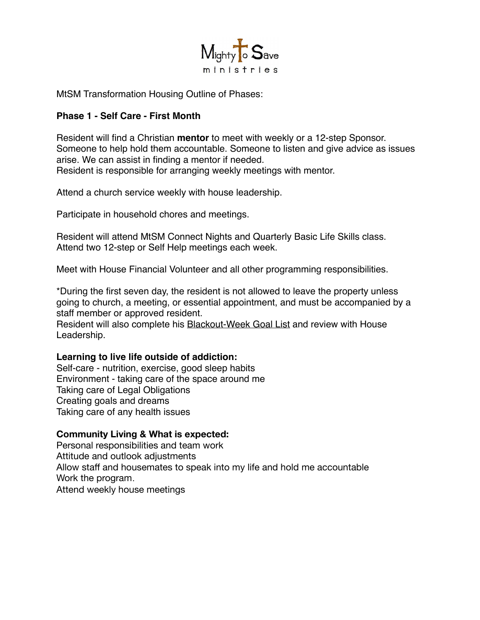

MtSM Transformation Housing Outline of Phases:

### **Phase 1 - Self Care - First Month**

Resident will find a Christian **mentor** to meet with weekly or a 12-step Sponsor. Someone to help hold them accountable. Someone to listen and give advice as issues arise. We can assist in finding a mentor if needed. Resident is responsible for arranging weekly meetings with mentor.

Attend a church service weekly with house leadership.

Participate in household chores and meetings.

Resident will attend MtSM Connect Nights and Quarterly Basic Life Skills class. Attend two 12-step or Self Help meetings each week.

Meet with House Financial Volunteer and all other programming responsibilities.

\*During the first seven day, the resident is not allowed to leave the property unless going to church, a meeting, or essential appointment, and must be accompanied by a staff member or approved resident.

Resident will also complete his Blackout-Week Goal List and review with House Leadership.

#### **Learning to live life outside of addiction:**

Self-care - nutrition, exercise, good sleep habits Environment - taking care of the space around me Taking care of Legal Obligations Creating goals and dreams Taking care of any health issues

#### **Community Living & What is expected:**

Personal responsibilities and team work Attitude and outlook adjustments Allow staff and housemates to speak into my life and hold me accountable Work the program. Attend weekly house meetings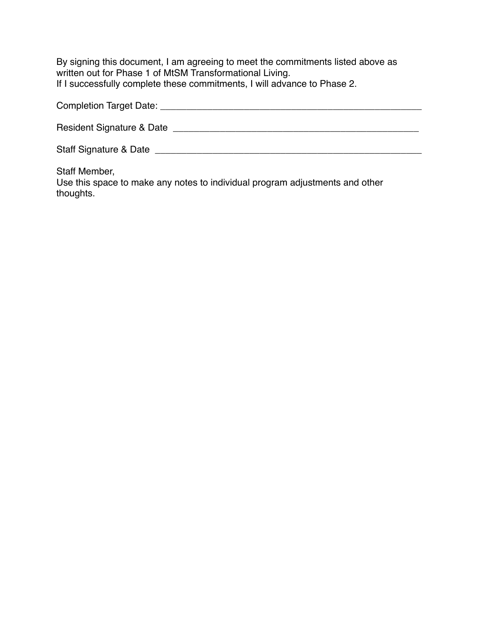By signing this document, I am agreeing to meet the commitments listed above as written out for Phase 1 of MtSM Transformational Living. If I successfully complete these commitments, I will advance to Phase 2.

| <b>Completion Target Date:</b> |  |
|--------------------------------|--|
|                                |  |

Resident Signature & Date \_\_\_\_\_\_\_\_\_\_\_\_\_\_\_\_\_\_\_\_\_\_\_\_\_\_\_\_\_\_\_\_\_\_\_\_\_\_\_\_\_\_\_\_\_\_\_

Staff Signature & Date \_\_\_\_\_\_\_\_\_\_\_\_\_\_\_\_\_\_\_\_\_\_\_\_\_\_\_\_\_\_\_\_\_\_\_\_\_\_\_\_\_\_\_\_\_\_\_\_\_\_\_

Staff Member,

Use this space to make any notes to individual program adjustments and other thoughts.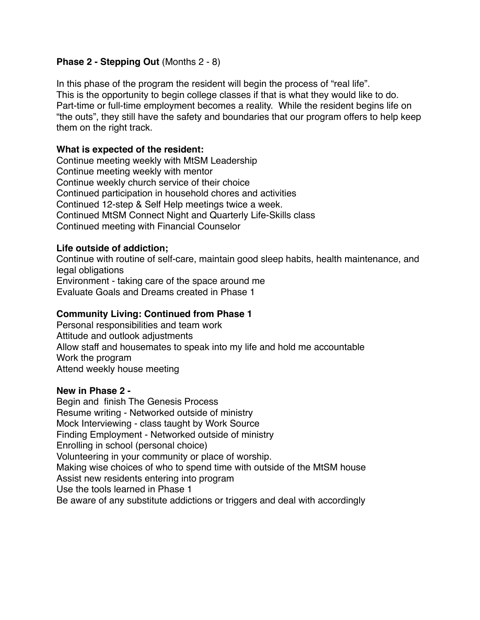## **Phase 2 - Stepping Out (Months 2 - 8)**

In this phase of the program the resident will begin the process of "real life". This is the opportunity to begin college classes if that is what they would like to do. Part-time or full-time employment becomes a reality. While the resident begins life on "the outs", they still have the safety and boundaries that our program offers to help keep them on the right track.

#### **What is expected of the resident:**

Continue meeting weekly with MtSM Leadership Continue meeting weekly with mentor Continue weekly church service of their choice Continued participation in household chores and activities Continued 12-step & Self Help meetings twice a week. Continued MtSM Connect Night and Quarterly Life-Skills class Continued meeting with Financial Counselor

## **Life outside of addiction;**

Continue with routine of self-care, maintain good sleep habits, health maintenance, and legal obligations Environment - taking care of the space around me Evaluate Goals and Dreams created in Phase 1

## **Community Living: Continued from Phase 1**

Personal responsibilities and team work Attitude and outlook adjustments Allow staff and housemates to speak into my life and hold me accountable Work the program Attend weekly house meeting

#### **New in Phase 2 -**

Begin and finish The Genesis Process Resume writing - Networked outside of ministry Mock Interviewing - class taught by Work Source Finding Employment - Networked outside of ministry Enrolling in school (personal choice) Volunteering in your community or place of worship. Making wise choices of who to spend time with outside of the MtSM house Assist new residents entering into program Use the tools learned in Phase 1 Be aware of any substitute addictions or triggers and deal with accordingly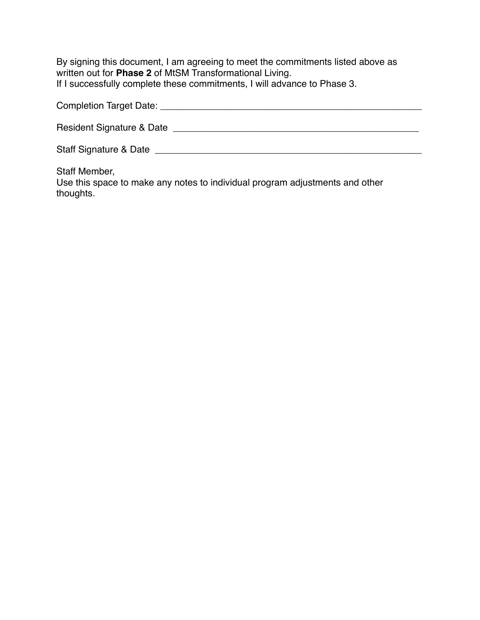By signing this document, I am agreeing to meet the commitments listed above as written out for **Phase 2** of MtSM Transformational Living. If I successfully complete these commitments, I will advance to Phase 3.

| <b>Completion Target Date:</b> |
|--------------------------------|
|--------------------------------|

Resident Signature & Date \_\_\_\_\_\_\_\_\_\_\_\_\_\_\_\_\_\_\_\_\_\_\_\_\_\_\_\_\_\_\_\_\_\_\_\_\_\_\_\_\_\_\_\_\_\_\_

Staff Signature & Date \_\_\_\_\_\_\_\_\_\_\_\_\_\_\_\_\_\_\_\_\_\_\_\_\_\_\_\_\_\_\_\_\_\_\_\_\_\_\_\_\_\_\_\_\_\_\_\_\_\_\_

Staff Member,

Use this space to make any notes to individual program adjustments and other thoughts.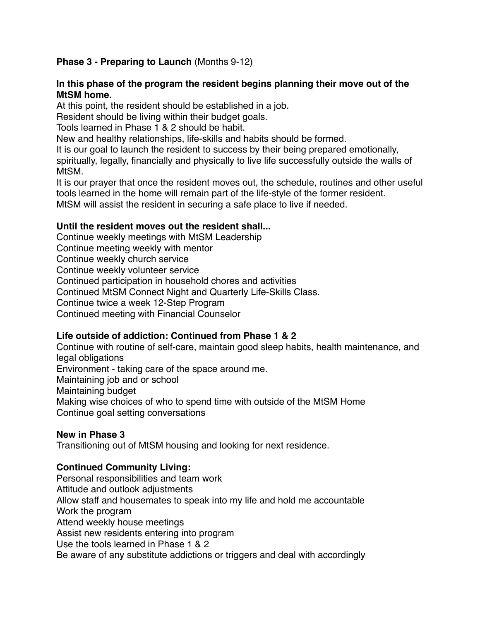## **Phase 3 - Preparing to Launch** (Months 9-12)

#### **In this phase of the program the resident begins planning their move out of the MtSM home.**

At this point, the resident should be established in a job.

Resident should be living within their budget goals.

Tools learned in Phase 1 & 2 should be habit.

New and healthy relationships, life-skills and habits should be formed.

It is our goal to launch the resident to success by their being prepared emotionally, spiritually, legally, financially and physically to live life successfully outside the walls of MtSM.

It is our prayer that once the resident moves out, the schedule, routines and other useful tools learned in the home will remain part of the life-style of the former resident. MtSM will assist the resident in securing a safe place to live if needed.

#### **Until the resident moves out the resident shall...**

Continue weekly meetings with MtSM Leadership Continue meeting weekly with mentor Continue weekly church service Continue weekly volunteer service Continued participation in household chores and activities Continued MtSM Connect Night and Quarterly Life-Skills Class. Continue twice a week 12-Step Program Continued meeting with Financial Counselor

# **Life outside of addiction: Continued from Phase 1 & 2**

Continue with routine of self-care, maintain good sleep habits, health maintenance, and legal obligations Environment - taking care of the space around me. Maintaining job and or school Maintaining budget Making wise choices of who to spend time with outside of the MtSM Home Continue goal setting conversations

#### **New in Phase 3**

Transitioning out of MtSM housing and looking for next residence.

# **Continued Community Living:**

Personal responsibilities and team work Attitude and outlook adjustments Allow staff and housemates to speak into my life and hold me accountable Work the program Attend weekly house meetings Assist new residents entering into program Use the tools learned in Phase 1 & 2 Be aware of any substitute addictions or triggers and deal with accordingly